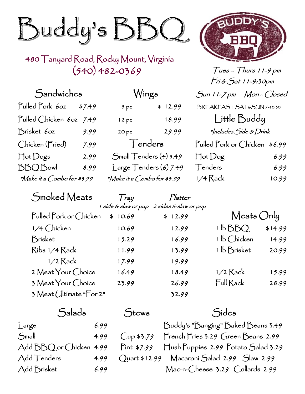Buddy's BBQ

 480 Tanyard Road, Rocky Mount, Virginia  $(540)$   $482$ -0369 Tues-Thurs 11-9 pm

| Sandwiches                                                         |      | Wings                       |                           |                                                          | Sun 11-7 pm Mon-Closed        |
|--------------------------------------------------------------------|------|-----------------------------|---------------------------|----------------------------------------------------------|-------------------------------|
| Pulled Pork 60z \$7.49                                             |      | $8$ pc                      | \$12.99                   | BREAKFAST SAT&SUN 7-10:30                                |                               |
| Pulled Chicken 60z 7.49                                            |      | 12pc                        | 18.99                     | Little Buddy                                             |                               |
| Brisket 60z                                                        | 9.99 | 20pc                        | 29.99                     |                                                          | *Includes Side & Drink        |
| Chicken (Fried)                                                    | 7.99 | $\top$ enders               |                           |                                                          | Pulled Pork or Chicken \$6.99 |
| $\operatorname{\mathsf{Hot}}\nolimits\operatorname{\mathsf{Dogs}}$ | 2.99 | Small Tenders (4) 5.49      |                           | $\operatorname{\mathsf{Hot}}\operatorname{\mathsf{Deg}}$ | 6.99                          |
| <b>BBQBowl</b>                                                     | 8.99 |                             | Large $T$ enders (6) 7.49 | $T$ enders                                               | 6.99                          |
| *Make it a Combo for \$3.99                                        |      | *Make it a Combo for \$3.99 |                           | $1/4$ $Rack$                                             | 10.99                         |

| כאייי צ                      |         |  |  |  |
|------------------------------|---------|--|--|--|
| $8$ pc                       | \$12.99 |  |  |  |
| 12pc                         | 18.99   |  |  |  |
| 20pc                         | 29.99   |  |  |  |
| Tenders                      |         |  |  |  |
| Small Tenders (4) 5.49       |         |  |  |  |
| Large $\top$ enders (6) 7.49 |         |  |  |  |
| *Make it a Combo for \$3.99  |         |  |  |  |



 Fri & Sat 11-9:30pm Wings Sun 11-7 pm Mon-Closed BREAKFAST SAT&SUN 7-10:30 Little Buddy \*Includes Side & Drink Pulled Pork or Chicken \$6.99  $Hot Dog$  6.99  $\text{BBC}$  Bowl  $\text{8.99}$  Large Tenders (6) 7.49 Tenders  $\text{6.99}$ 

| Smoked Meats             | $\int$ ray | Platter                                    |                                    |         |
|--------------------------|------------|--------------------------------------------|------------------------------------|---------|
|                          |            | 1 síde & slaw or pup 2 sídes & slaw or pup |                                    |         |
| Pulled Pork or Chicken   | \$10.69    | \$12.99                                    | $Meats$ $Only$                     |         |
| $1/4$ Chicken            | 10.69      | 12.99                                      | 1 lb BBQ                           | \$14.99 |
| Brísket                  | 15.29      | 16.99                                      | 1 lb Chicken                       | 14.99   |
| Ribs 1/4 Rack            | 11.99      | 13.99                                      | 1 lb Brisket                       | 20.99   |
| $1/2$ Rack               | 17.99      | 19.99                                      |                                    |         |
| 2 Meat Your Choice       | 16.49      | 18.49                                      | $1/2$ Rack                         | 15.99   |
| 3 Meat Your Choice       | 23.99      | 26.99                                      | Full Rack                          | 28.99   |
| 3 Meat (Iltimate "For 2" |            | 32.99                                      |                                    |         |
| Salads                   | Stews      |                                            | Sídes                              |         |
| $L$ arge                 | 6.99       |                                            | Buddy's "Banging" Baked Beans 3.49 |         |

| Large                   | 6.99 |               | Buddy's "Banging" Baked Beans 3.49              |
|-------------------------|------|---------------|-------------------------------------------------|
| $S$ mall                | 4.99 | $C$ up \$3.79 | French Fries 3.29 Green Beans 2.99              |
| Add BBQ or Chicken 4.99 |      |               | Pint \$7.99 Hush Puppies 2.99 Potato Salad 3.29 |
| Add Tenders             | 4.99 |               | Quart \$12.99 Macaroni Salad 2.99 Slaw 2.99     |
| Add Brisket             | 6.99 |               | Mac-n-Cheese 3.29 Collards 2.99                 |